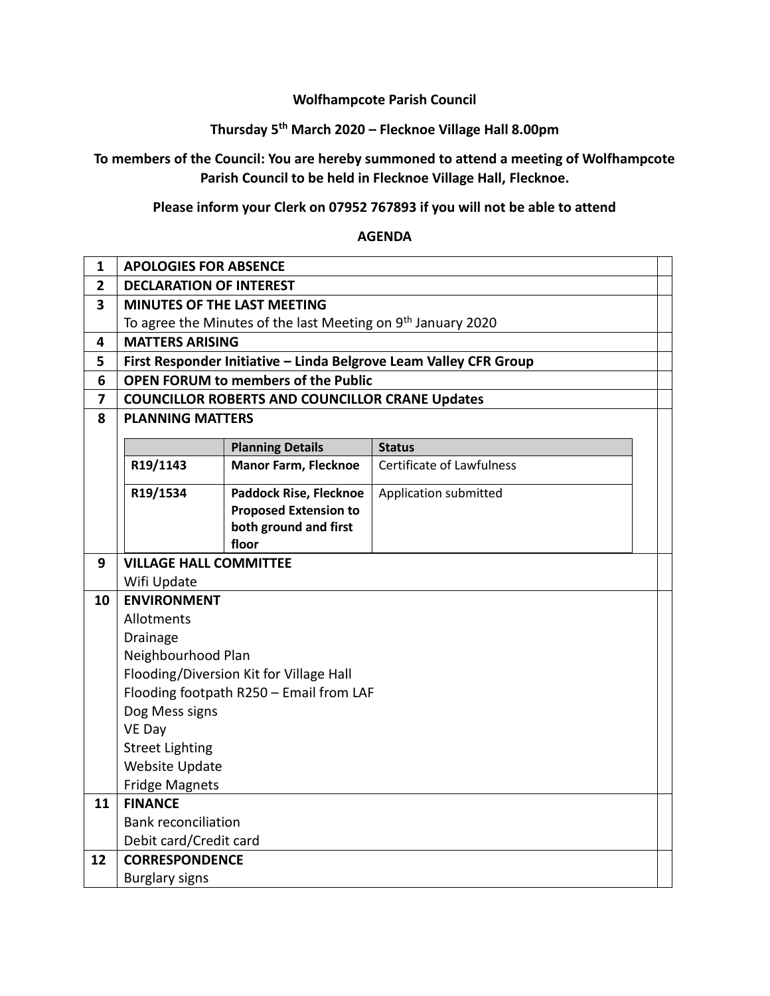## **Wolfhampcote Parish Council**

# **Thursday 5th March 2020 – Flecknoe Village Hall 8.00pm**

## **To members of the Council: You are hereby summoned to attend a meeting of Wolfhampcote Parish Council to be held in Flecknoe Village Hall, Flecknoe.**

## **Please inform your Clerk on 07952 767893 if you will not be able to attend**

#### **AGENDA**

| $\mathbf{1}$            | <b>APOLOGIES FOR ABSENCE</b>             |                                                                          |                                                                   |  |  |  |
|-------------------------|------------------------------------------|--------------------------------------------------------------------------|-------------------------------------------------------------------|--|--|--|
| $\overline{2}$          | <b>DECLARATION OF INTEREST</b>           |                                                                          |                                                                   |  |  |  |
| $\overline{\mathbf{3}}$ |                                          | <b>MINUTES OF THE LAST MEETING</b>                                       |                                                                   |  |  |  |
|                         |                                          | To agree the Minutes of the last Meeting on 9 <sup>th</sup> January 2020 |                                                                   |  |  |  |
| 4                       | <b>MATTERS ARISING</b>                   |                                                                          |                                                                   |  |  |  |
| 5                       |                                          |                                                                          | First Responder Initiative - Linda Belgrove Leam Valley CFR Group |  |  |  |
| 6                       |                                          | <b>OPEN FORUM to members of the Public</b>                               |                                                                   |  |  |  |
| $\overline{7}$          |                                          | <b>COUNCILLOR ROBERTS AND COUNCILLOR CRANE Updates</b>                   |                                                                   |  |  |  |
| 8                       | <b>PLANNING MATTERS</b>                  |                                                                          |                                                                   |  |  |  |
|                         | <b>Planning Details</b><br><b>Status</b> |                                                                          |                                                                   |  |  |  |
|                         | R19/1143                                 | <b>Manor Farm, Flecknoe</b>                                              | <b>Certificate of Lawfulness</b>                                  |  |  |  |
|                         |                                          |                                                                          |                                                                   |  |  |  |
|                         | R19/1534                                 | <b>Paddock Rise, Flecknoe</b>                                            | Application submitted                                             |  |  |  |
|                         |                                          | <b>Proposed Extension to</b>                                             |                                                                   |  |  |  |
|                         |                                          | both ground and first<br>floor                                           |                                                                   |  |  |  |
| 9                       | <b>VILLAGE HALL COMMITTEE</b>            |                                                                          |                                                                   |  |  |  |
|                         | Wifi Update                              |                                                                          |                                                                   |  |  |  |
| 10                      | <b>ENVIRONMENT</b>                       |                                                                          |                                                                   |  |  |  |
|                         | Allotments                               |                                                                          |                                                                   |  |  |  |
|                         | Drainage                                 |                                                                          |                                                                   |  |  |  |
|                         | Neighbourhood Plan                       |                                                                          |                                                                   |  |  |  |
|                         |                                          | Flooding/Diversion Kit for Village Hall                                  |                                                                   |  |  |  |
|                         |                                          | Flooding footpath R250 - Email from LAF                                  |                                                                   |  |  |  |
|                         | Dog Mess signs                           |                                                                          |                                                                   |  |  |  |
|                         | VE Day                                   |                                                                          |                                                                   |  |  |  |
|                         | <b>Street Lighting</b>                   |                                                                          |                                                                   |  |  |  |
|                         | <b>Website Update</b>                    |                                                                          |                                                                   |  |  |  |
|                         | <b>Fridge Magnets</b>                    |                                                                          |                                                                   |  |  |  |
| 11                      | <b>FINANCE</b>                           |                                                                          |                                                                   |  |  |  |
|                         | <b>Bank reconciliation</b>               |                                                                          |                                                                   |  |  |  |
|                         | Debit card/Credit card                   |                                                                          |                                                                   |  |  |  |
| 12                      | <b>CORRESPONDENCE</b>                    |                                                                          |                                                                   |  |  |  |
|                         | <b>Burglary signs</b>                    |                                                                          |                                                                   |  |  |  |